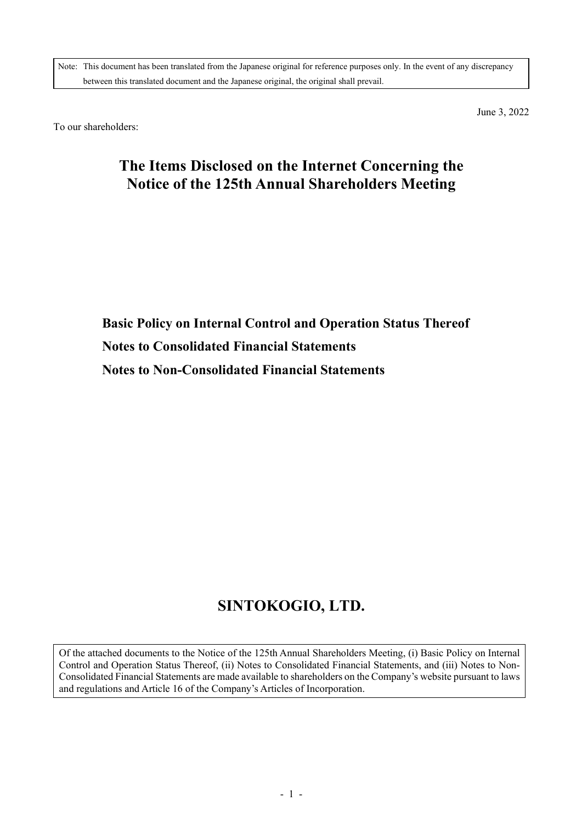Note: This document has been translated from the Japanese original for reference purposes only. In the event of any discrepancy between this translated document and the Japanese original, the original shall prevail.

To our shareholders:

June 3, 2022

# **The Items Disclosed on the Internet Concerning the Notice of the 125th Annual Shareholders Meeting**

**Basic Policy on Internal Control and Operation Status Thereof Notes to Consolidated Financial Statements Notes to Non-Consolidated Financial Statements**

# **SINTOKOGIO, LTD.**

Of the attached documents to the Notice of the 125th Annual Shareholders Meeting, (i) Basic Policy on Internal Control and Operation Status Thereof, (ii) Notes to Consolidated Financial Statements, and (iii) Notes to Non-Consolidated Financial Statements are made available to shareholders on the Company's website pursuant to laws and regulations and Article 16 of the Company's Articles of Incorporation.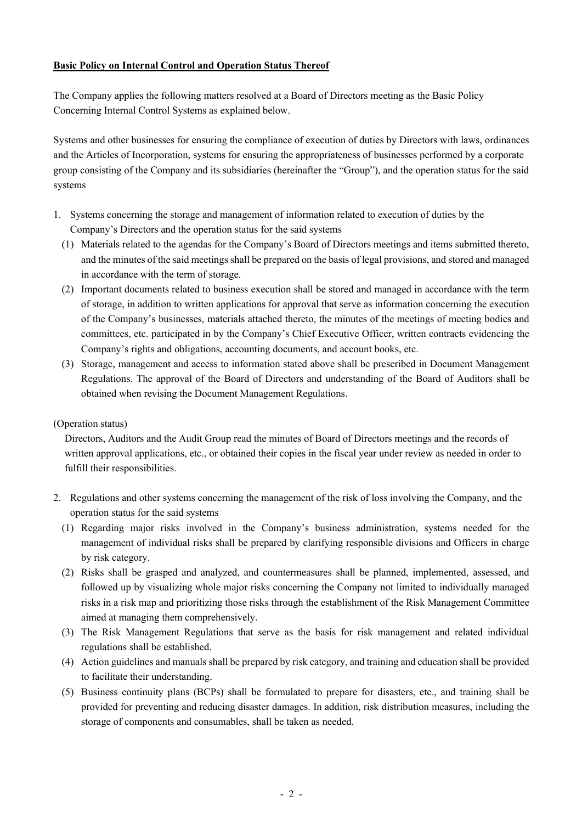# **Basic Policy on Internal Control and Operation Status Thereof**

The Company applies the following matters resolved at a Board of Directors meeting as the Basic Policy Concerning Internal Control Systems as explained below.

Systems and other businesses for ensuring the compliance of execution of duties by Directors with laws, ordinances and the Articles of Incorporation, systems for ensuring the appropriateness of businesses performed by a corporate group consisting of the Company and its subsidiaries (hereinafter the "Group"), and the operation status for the said systems

- 1. Systems concerning the storage and management of information related to execution of duties by the Company's Directors and the operation status for the said systems
	- (1) Materials related to the agendas for the Company's Board of Directors meetings and items submitted thereto, and the minutes of the said meetings shall be prepared on the basis of legal provisions, and stored and managed in accordance with the term of storage.
	- (2) Important documents related to business execution shall be stored and managed in accordance with the term of storage, in addition to written applications for approval that serve as information concerning the execution of the Company's businesses, materials attached thereto, the minutes of the meetings of meeting bodies and committees, etc. participated in by the Company's Chief Executive Officer, written contracts evidencing the Company's rights and obligations, accounting documents, and account books, etc.
	- (3) Storage, management and access to information stated above shall be prescribed in Document Management Regulations. The approval of the Board of Directors and understanding of the Board of Auditors shall be obtained when revising the Document Management Regulations.

#### (Operation status)

Directors, Auditors and the Audit Group read the minutes of Board of Directors meetings and the records of written approval applications, etc., or obtained their copies in the fiscal year under review as needed in order to fulfill their responsibilities.

- 2. Regulations and other systems concerning the management of the risk of loss involving the Company, and the operation status for the said systems
	- (1) Regarding major risks involved in the Company's business administration, systems needed for the management of individual risks shall be prepared by clarifying responsible divisions and Officers in charge by risk category.
	- (2) Risks shall be grasped and analyzed, and countermeasures shall be planned, implemented, assessed, and followed up by visualizing whole major risks concerning the Company not limited to individually managed risks in a risk map and prioritizing those risks through the establishment of the Risk Management Committee aimed at managing them comprehensively.
	- (3) The Risk Management Regulations that serve as the basis for risk management and related individual regulations shall be established.
	- (4) Action guidelines and manuals shall be prepared by risk category, and training and education shall be provided to facilitate their understanding.
	- (5) Business continuity plans (BCPs) shall be formulated to prepare for disasters, etc., and training shall be provided for preventing and reducing disaster damages. In addition, risk distribution measures, including the storage of components and consumables, shall be taken as needed.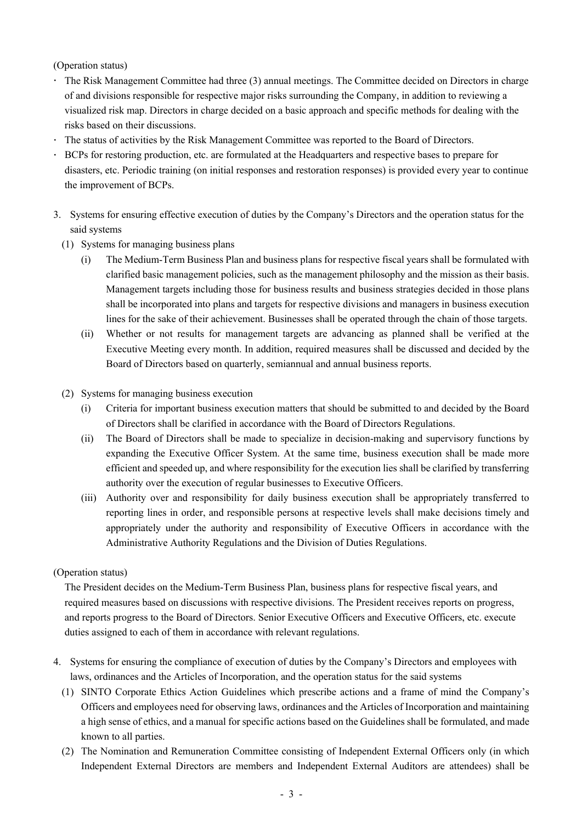- The Risk Management Committee had three (3) annual meetings. The Committee decided on Directors in charge of and divisions responsible for respective major risks surrounding the Company, in addition to reviewing a visualized risk map. Directors in charge decided on a basic approach and specific methods for dealing with the risks based on their discussions.
- The status of activities by the Risk Management Committee was reported to the Board of Directors.
- BCPs for restoring production, etc. are formulated at the Headquarters and respective bases to prepare for disasters, etc. Periodic training (on initial responses and restoration responses) is provided every year to continue the improvement of BCPs.
- 3. Systems for ensuring effective execution of duties by the Company's Directors and the operation status for the said systems
	- (1) Systems for managing business plans
		- (i) The Medium-Term Business Plan and business plans for respective fiscal years shall be formulated with clarified basic management policies, such as the management philosophy and the mission as their basis. Management targets including those for business results and business strategies decided in those plans shall be incorporated into plans and targets for respective divisions and managers in business execution lines for the sake of their achievement. Businesses shall be operated through the chain of those targets.
		- (ii) Whether or not results for management targets are advancing as planned shall be verified at the Executive Meeting every month. In addition, required measures shall be discussed and decided by the Board of Directors based on quarterly, semiannual and annual business reports.
	- (2) Systems for managing business execution
		- (i) Criteria for important business execution matters that should be submitted to and decided by the Board of Directors shall be clarified in accordance with the Board of Directors Regulations.
		- (ii) The Board of Directors shall be made to specialize in decision-making and supervisory functions by expanding the Executive Officer System. At the same time, business execution shall be made more efficient and speeded up, and where responsibility for the execution lies shall be clarified by transferring authority over the execution of regular businesses to Executive Officers.
		- (iii) Authority over and responsibility for daily business execution shall be appropriately transferred to reporting lines in order, and responsible persons at respective levels shall make decisions timely and appropriately under the authority and responsibility of Executive Officers in accordance with the Administrative Authority Regulations and the Division of Duties Regulations.

#### (Operation status)

The President decides on the Medium-Term Business Plan, business plans for respective fiscal years, and required measures based on discussions with respective divisions. The President receives reports on progress, and reports progress to the Board of Directors. Senior Executive Officers and Executive Officers, etc. execute duties assigned to each of them in accordance with relevant regulations.

- 4. Systems for ensuring the compliance of execution of duties by the Company's Directors and employees with laws, ordinances and the Articles of Incorporation, and the operation status for the said systems
	- (1) SINTO Corporate Ethics Action Guidelines which prescribe actions and a frame of mind the Company's Officers and employees need for observing laws, ordinances and the Articles of Incorporation and maintaining a high sense of ethics, and a manual for specific actions based on the Guidelines shall be formulated, and made known to all parties.
	- (2) The Nomination and Remuneration Committee consisting of Independent External Officers only (in which Independent External Directors are members and Independent External Auditors are attendees) shall be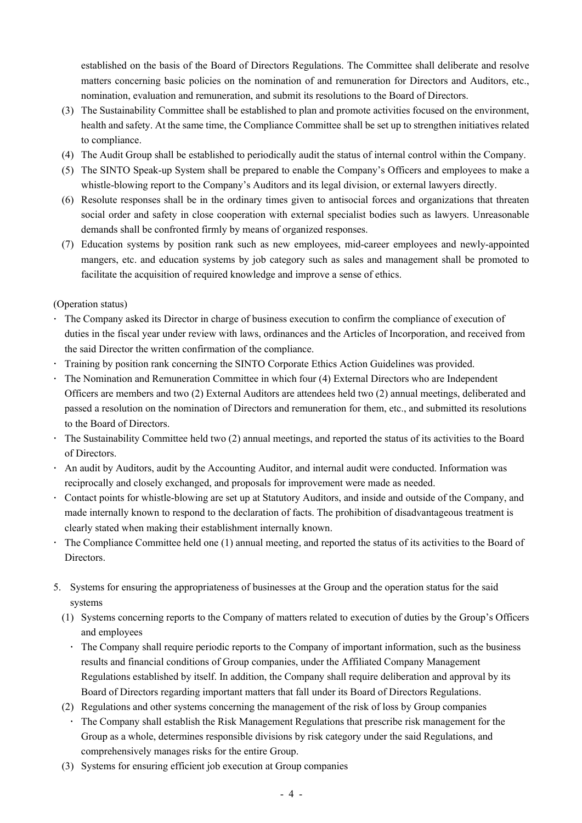established on the basis of the Board of Directors Regulations. The Committee shall deliberate and resolve matters concerning basic policies on the nomination of and remuneration for Directors and Auditors, etc., nomination, evaluation and remuneration, and submit its resolutions to the Board of Directors.

- (3) The Sustainability Committee shall be established to plan and promote activities focused on the environment, health and safety. At the same time, the Compliance Committee shall be set up to strengthen initiatives related to compliance.
- (4) The Audit Group shall be established to periodically audit the status of internal control within the Company.
- (5) The SINTO Speak-up System shall be prepared to enable the Company's Officers and employees to make a whistle-blowing report to the Company's Auditors and its legal division, or external lawyers directly.
- (6) Resolute responses shall be in the ordinary times given to antisocial forces and organizations that threaten social order and safety in close cooperation with external specialist bodies such as lawyers. Unreasonable demands shall be confronted firmly by means of organized responses.
- (7) Education systems by position rank such as new employees, mid-career employees and newly-appointed mangers, etc. and education systems by job category such as sales and management shall be promoted to facilitate the acquisition of required knowledge and improve a sense of ethics.

# (Operation status)

- The Company asked its Director in charge of business execution to confirm the compliance of execution of duties in the fiscal year under review with laws, ordinances and the Articles of Incorporation, and received from the said Director the written confirmation of the compliance.
- Training by position rank concerning the SINTO Corporate Ethics Action Guidelines was provided.
- The Nomination and Remuneration Committee in which four (4) External Directors who are Independent Officers are members and two (2) External Auditors are attendees held two (2) annual meetings, deliberated and passed a resolution on the nomination of Directors and remuneration for them, etc., and submitted its resolutions to the Board of Directors.
- The Sustainability Committee held two (2) annual meetings, and reported the status of its activities to the Board of Directors.
- An audit by Auditors, audit by the Accounting Auditor, and internal audit were conducted. Information was reciprocally and closely exchanged, and proposals for improvement were made as needed.
- Contact points for whistle-blowing are set up at Statutory Auditors, and inside and outside of the Company, and made internally known to respond to the declaration of facts. The prohibition of disadvantageous treatment is clearly stated when making their establishment internally known.
- The Compliance Committee held one (1) annual meeting, and reported the status of its activities to the Board of Directors.
- 5. Systems for ensuring the appropriateness of businesses at the Group and the operation status for the said systems
	- (1) Systems concerning reports to the Company of matters related to execution of duties by the Group's Officers and employees
		- The Company shall require periodic reports to the Company of important information, such as the business results and financial conditions of Group companies, under the Affiliated Company Management Regulations established by itself. In addition, the Company shall require deliberation and approval by its Board of Directors regarding important matters that fall under its Board of Directors Regulations.
	- (2) Regulations and other systems concerning the management of the risk of loss by Group companies The Company shall establish the Risk Management Regulations that prescribe risk management for the Group as a whole, determines responsible divisions by risk category under the said Regulations, and comprehensively manages risks for the entire Group.
	- (3) Systems for ensuring efficient job execution at Group companies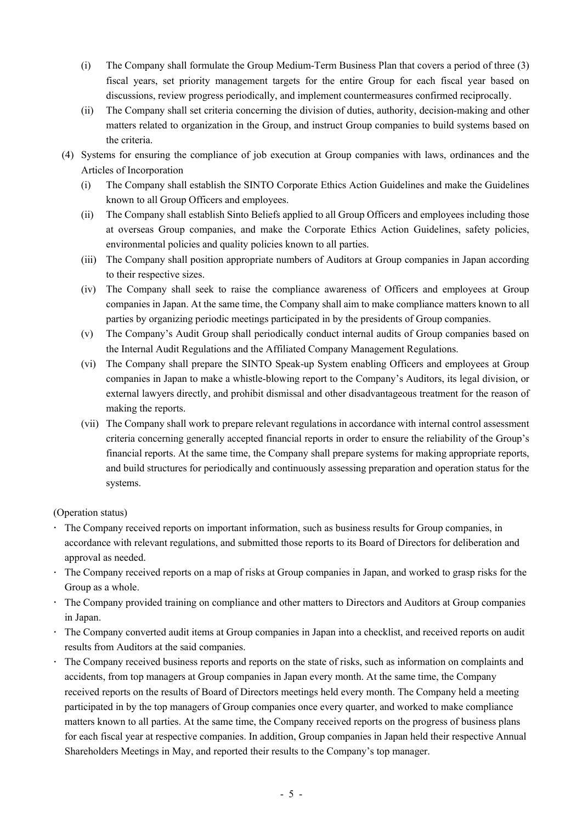- (i) The Company shall formulate the Group Medium-Term Business Plan that covers a period of three (3) fiscal years, set priority management targets for the entire Group for each fiscal year based on discussions, review progress periodically, and implement countermeasures confirmed reciprocally.
- (ii) The Company shall set criteria concerning the division of duties, authority, decision-making and other matters related to organization in the Group, and instruct Group companies to build systems based on the criteria.
- (4) Systems for ensuring the compliance of job execution at Group companies with laws, ordinances and the Articles of Incorporation
	- (i) The Company shall establish the SINTO Corporate Ethics Action Guidelines and make the Guidelines known to all Group Officers and employees.
	- (ii) The Company shall establish Sinto Beliefs applied to all Group Officers and employees including those at overseas Group companies, and make the Corporate Ethics Action Guidelines, safety policies, environmental policies and quality policies known to all parties.
	- (iii) The Company shall position appropriate numbers of Auditors at Group companies in Japan according to their respective sizes.
	- (iv) The Company shall seek to raise the compliance awareness of Officers and employees at Group companies in Japan. At the same time, the Company shall aim to make compliance matters known to all parties by organizing periodic meetings participated in by the presidents of Group companies.
	- (v) The Company's Audit Group shall periodically conduct internal audits of Group companies based on the Internal Audit Regulations and the Affiliated Company Management Regulations.
	- (vi) The Company shall prepare the SINTO Speak-up System enabling Officers and employees at Group companies in Japan to make a whistle-blowing report to the Company's Auditors, its legal division, or external lawyers directly, and prohibit dismissal and other disadvantageous treatment for the reason of making the reports.
	- (vii) The Company shall work to prepare relevant regulations in accordance with internal control assessment criteria concerning generally accepted financial reports in order to ensure the reliability of the Group's financial reports. At the same time, the Company shall prepare systems for making appropriate reports, and build structures for periodically and continuously assessing preparation and operation status for the systems.

- The Company received reports on important information, such as business results for Group companies, in accordance with relevant regulations, and submitted those reports to its Board of Directors for deliberation and approval as needed.
- The Company received reports on a map of risks at Group companies in Japan, and worked to grasp risks for the Group as a whole.
- The Company provided training on compliance and other matters to Directors and Auditors at Group companies in Japan.
- The Company converted audit items at Group companies in Japan into a checklist, and received reports on audit results from Auditors at the said companies.
- The Company received business reports and reports on the state of risks, such as information on complaints and accidents, from top managers at Group companies in Japan every month. At the same time, the Company received reports on the results of Board of Directors meetings held every month. The Company held a meeting participated in by the top managers of Group companies once every quarter, and worked to make compliance matters known to all parties. At the same time, the Company received reports on the progress of business plans for each fiscal year at respective companies. In addition, Group companies in Japan held their respective Annual Shareholders Meetings in May, and reported their results to the Company's top manager.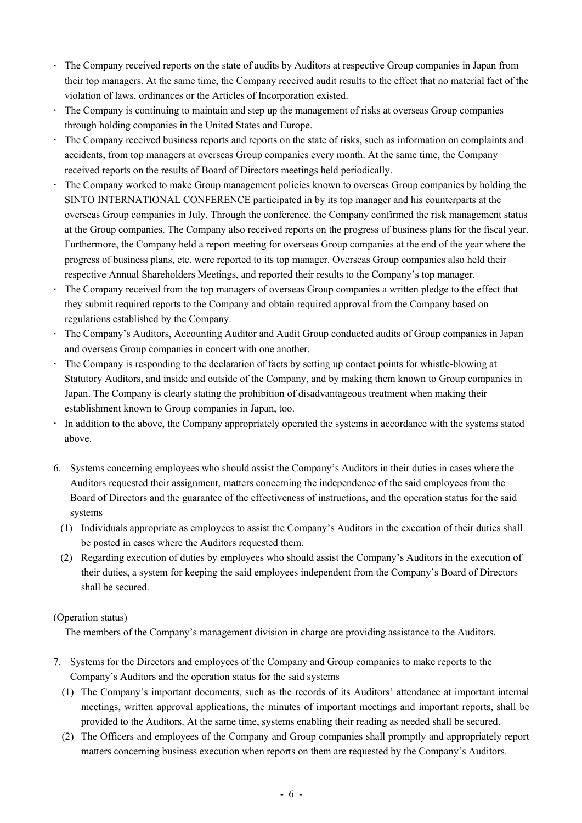- The Company received reports on the state of audits by Auditors at respective Group companies in Japan from their top managers. At the same time, the Company received audit results to the effect that no material fact of the violation of laws, ordinances or the Articles of Incorporation existed.
- The Company is continuing to maintain and step up the management of risks at overseas Group companies through holding companies in the United States and Europe.
- The Company received business reports and reports on the state of risks, such as information on complaints and accidents, from top managers at overseas Group companies every month. At the same time, the Company received reports on the results of Board of Directors meetings held periodically.
- The Company worked to make Group management policies known to overseas Group companies by holding the SINTO INTERNATIONAL CONFERENCE participated in by its top manager and his counterparts at the overseas Group companies in July. Through the conference, the Company confirmed the risk management status at the Group companies. The Company also received reports on the progress of business plans for the fiscal year. Furthermore, the Company held a report meeting for overseas Group companies at the end of the year where the progress of business plans, etc. were reported to its top manager. Overseas Group companies also held their respective Annual Shareholders Meetings, and reported their results to the Company's top manager.
- The Company received from the top managers of overseas Group companies a written pledge to the effect that they submit required reports to the Company and obtain required approval from the Company based on regulations established by the Company.
- The Company's Auditors, Accounting Auditor and Audit Group conducted audits of Group companies in Japan and overseas Group companies in concert with one another.
- The Company is responding to the declaration of facts by setting up contact points for whistle-blowing at Statutory Auditors, and inside and outside of the Company, and by making them known to Group companies in Japan. The Company is clearly stating the prohibition of disadvantageous treatment when making their establishment known to Group companies in Japan, too.
- In addition to the above, the Company appropriately operated the systems in accordance with the systems stated above.
- 6. Systems concerning employees who should assist the Company's Auditors in their duties in cases where the Auditors requested their assignment, matters concerning the independence of the said employees from the Board of Directors and the guarantee of the effectiveness of instructions, and the operation status for the said systems
	- (1) Individuals appropriate as employees to assist the Company's Auditors in the execution of their duties shall be posted in cases where the Auditors requested them.
	- (2) Regarding execution of duties by employees who should assist the Company's Auditors in the execution of their duties, a system for keeping the said employees independent from the Company's Board of Directors shall be secured.

The members of the Company's management division in charge are providing assistance to the Auditors.

- 7. Systems for the Directors and employees of the Company and Group companies to make reports to the Company's Auditors and the operation status for the said systems
	- (1) The Company's important documents, such as the records of its Auditors' attendance at important internal meetings, written approval applications, the minutes of important meetings and important reports, shall be provided to the Auditors. At the same time, systems enabling their reading as needed shall be secured.
	- (2) The Officers and employees of the Company and Group companies shall promptly and appropriately report matters concerning business execution when reports on them are requested by the Company's Auditors.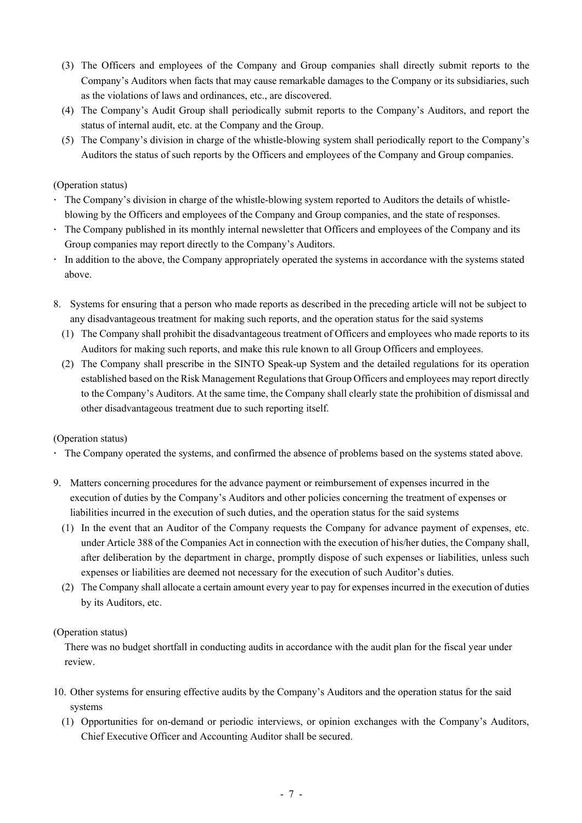- (3) The Officers and employees of the Company and Group companies shall directly submit reports to the Company's Auditors when facts that may cause remarkable damages to the Company or its subsidiaries, such as the violations of laws and ordinances, etc., are discovered.
- (4) The Company's Audit Group shall periodically submit reports to the Company's Auditors, and report the status of internal audit, etc. at the Company and the Group.
- (5) The Company's division in charge of the whistle-blowing system shall periodically report to the Company's Auditors the status of such reports by the Officers and employees of the Company and Group companies.

- The Company's division in charge of the whistle-blowing system reported to Auditors the details of whistleblowing by the Officers and employees of the Company and Group companies, and the state of responses.
- The Company published in its monthly internal newsletter that Officers and employees of the Company and its Group companies may report directly to the Company's Auditors.
- In addition to the above, the Company appropriately operated the systems in accordance with the systems stated above.
- 8. Systems for ensuring that a person who made reports as described in the preceding article will not be subject to any disadvantageous treatment for making such reports, and the operation status for the said systems
	- (1) The Company shall prohibit the disadvantageous treatment of Officers and employees who made reports to its Auditors for making such reports, and make this rule known to all Group Officers and employees.
	- (2) The Company shall prescribe in the SINTO Speak-up System and the detailed regulations for its operation established based on the Risk Management Regulations that Group Officers and employees may report directly to the Company's Auditors. At the same time, the Company shall clearly state the prohibition of dismissal and other disadvantageous treatment due to such reporting itself.

#### (Operation status)

- The Company operated the systems, and confirmed the absence of problems based on the systems stated above.
- 9. Matters concerning procedures for the advance payment or reimbursement of expenses incurred in the execution of duties by the Company's Auditors and other policies concerning the treatment of expenses or liabilities incurred in the execution of such duties, and the operation status for the said systems
	- (1) In the event that an Auditor of the Company requests the Company for advance payment of expenses, etc. under Article 388 of the Companies Act in connection with the execution of his/her duties, the Company shall, after deliberation by the department in charge, promptly dispose of such expenses or liabilities, unless such expenses or liabilities are deemed not necessary for the execution of such Auditor's duties.
	- (2) The Company shall allocate a certain amount every year to pay for expensesincurred in the execution of duties by its Auditors, etc.

#### (Operation status)

There was no budget shortfall in conducting audits in accordance with the audit plan for the fiscal year under review.

- 10. Other systems for ensuring effective audits by the Company's Auditors and the operation status for the said systems
	- (1) Opportunities for on-demand or periodic interviews, or opinion exchanges with the Company's Auditors, Chief Executive Officer and Accounting Auditor shall be secured.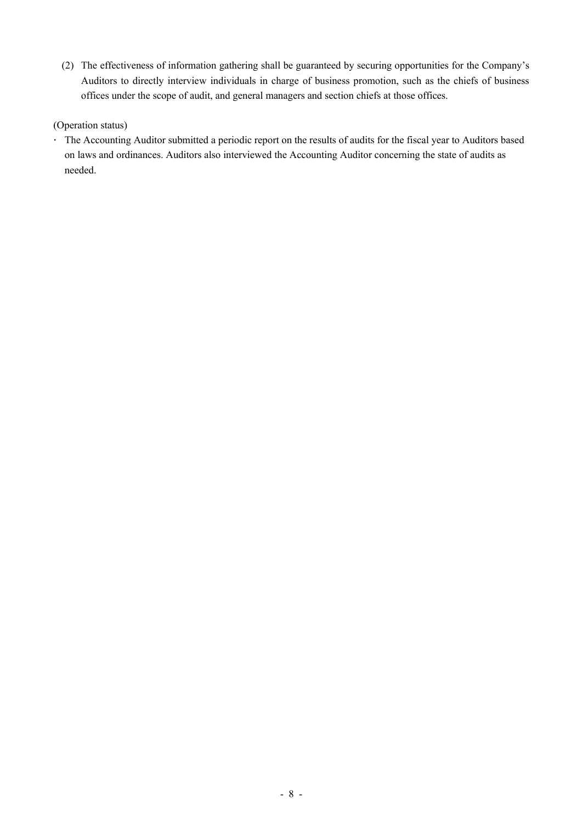(2) The effectiveness of information gathering shall be guaranteed by securing opportunities for the Company's Auditors to directly interview individuals in charge of business promotion, such as the chiefs of business offices under the scope of audit, and general managers and section chiefs at those offices.

# (Operation status)

The Accounting Auditor submitted a periodic report on the results of audits for the fiscal year to Auditors based on laws and ordinances. Auditors also interviewed the Accounting Auditor concerning the state of audits as needed.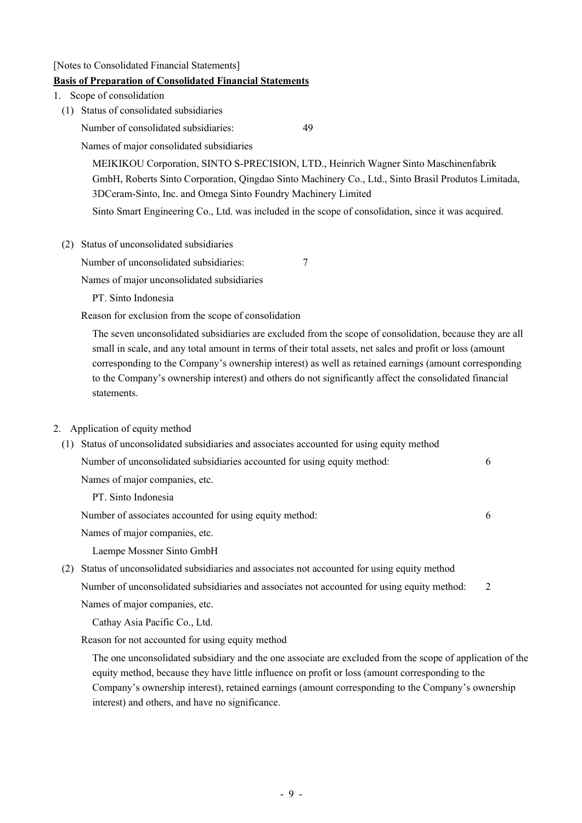[Notes to Consolidated Financial Statements]

# **Basis of Preparation of Consolidated Financial Statements**

- 1. Scope of consolidation
- (1) Status of consolidated subsidiaries

Number of consolidated subsidiaries: 49

Names of major consolidated subsidiaries

MEIKIKOU Corporation, SINTO S-PRECISION, LTD., Heinrich Wagner Sinto Maschinenfabrik GmbH, Roberts Sinto Corporation, Qingdao Sinto Machinery Co., Ltd., Sinto Brasil Produtos Limitada, 3DCeram-Sinto, Inc. and Omega Sinto Foundry Machinery Limited

Sinto Smart Engineering Co., Ltd. was included in the scope of consolidation, since it was acquired.

(2) Status of unconsolidated subsidiaries

Number of unconsolidated subsidiaries: 7

Names of major unconsolidated subsidiaries

PT. Sinto Indonesia

Reason for exclusion from the scope of consolidation

The seven unconsolidated subsidiaries are excluded from the scope of consolidation, because they are all small in scale, and any total amount in terms of their total assets, net sales and profit or loss (amount corresponding to the Company's ownership interest) as well as retained earnings (amount corresponding to the Company's ownership interest) and others do not significantly affect the consolidated financial statements.

#### 2. Application of equity method

(1) Status of unconsolidated subsidiaries and associates accounted for using equity method Number of unconsolidated subsidiaries accounted for using equity method: 6 Names of major companies, etc. PT. Sinto Indonesia Number of associates accounted for using equity method: 6 Names of major companies, etc. Laempe Mossner Sinto GmbH (2) Status of unconsolidated subsidiaries and associates not accounted for using equity method Number of unconsolidated subsidiaries and associates not accounted for using equity method: 2 Names of major companies, etc.

Cathay Asia Pacific Co., Ltd.

Reason for not accounted for using equity method

The one unconsolidated subsidiary and the one associate are excluded from the scope of application of the equity method, because they have little influence on profit or loss (amount corresponding to the Company's ownership interest), retained earnings (amount corresponding to the Company's ownership interest) and others, and have no significance.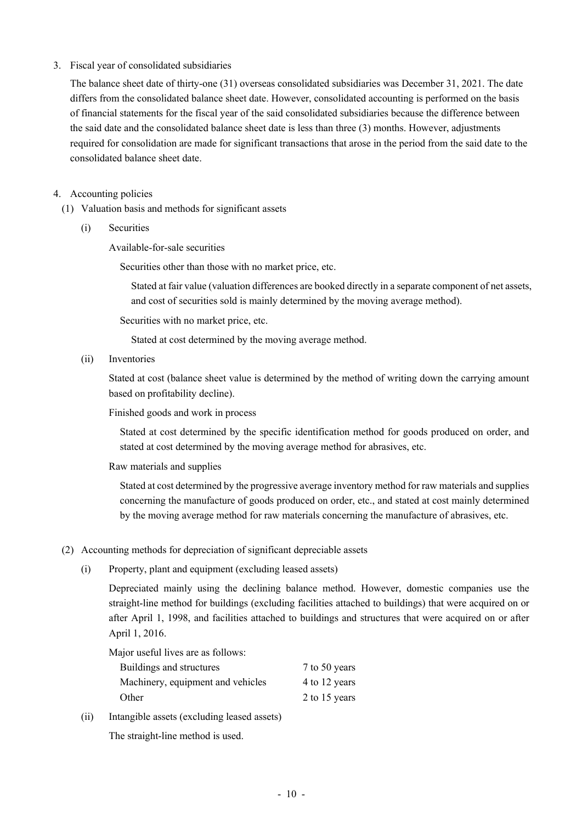#### 3. Fiscal year of consolidated subsidiaries

The balance sheet date of thirty-one (31) overseas consolidated subsidiaries was December 31, 2021. The date differs from the consolidated balance sheet date. However, consolidated accounting is performed on the basis of financial statements for the fiscal year of the said consolidated subsidiaries because the difference between the said date and the consolidated balance sheet date is less than three (3) months. However, adjustments required for consolidation are made for significant transactions that arose in the period from the said date to the consolidated balance sheet date.

# 4. Accounting policies

- (1) Valuation basis and methods for significant assets
	- (i) Securities

Available-for-sale securities

Securities other than those with no market price, etc.

Stated at fair value (valuation differences are booked directly in a separate component of net assets, and cost of securities sold is mainly determined by the moving average method).

Securities with no market price, etc.

Stated at cost determined by the moving average method.

(ii) Inventories

Stated at cost (balance sheet value is determined by the method of writing down the carrying amount based on profitability decline).

Finished goods and work in process

Stated at cost determined by the specific identification method for goods produced on order, and stated at cost determined by the moving average method for abrasives, etc.

Raw materials and supplies

Stated at cost determined by the progressive average inventory method for raw materials and supplies concerning the manufacture of goods produced on order, etc., and stated at cost mainly determined by the moving average method for raw materials concerning the manufacture of abrasives, etc.

#### (2) Accounting methods for depreciation of significant depreciable assets

(i) Property, plant and equipment (excluding leased assets)

Depreciated mainly using the declining balance method. However, domestic companies use the straight-line method for buildings (excluding facilities attached to buildings) that were acquired on or after April 1, 1998, and facilities attached to buildings and structures that were acquired on or after April 1, 2016.

Major useful lives are as follows:

| Buildings and structures          | 7 to 50 years |
|-----------------------------------|---------------|
| Machinery, equipment and vehicles | 4 to 12 years |
| Other                             | 2 to 15 years |
|                                   |               |

(ii) Intangible assets (excluding leased assets)

The straight-line method is used.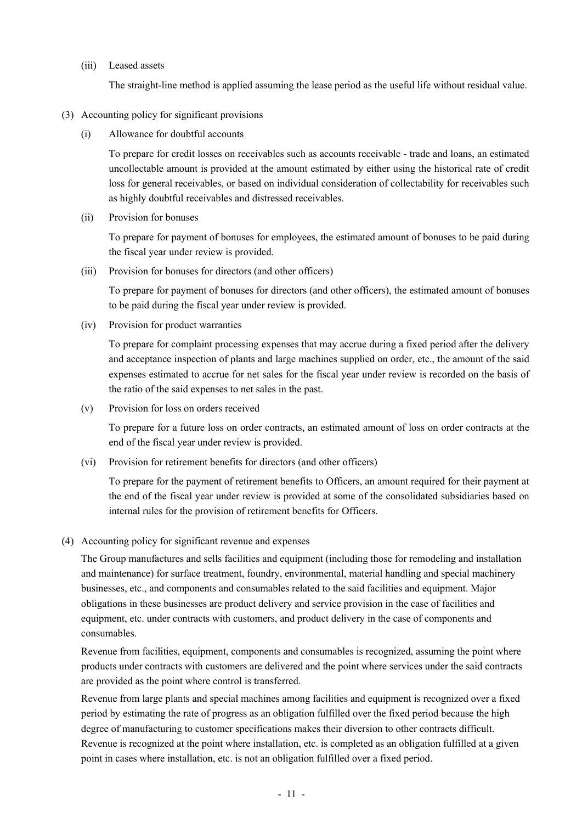(iii) Leased assets

The straight-line method is applied assuming the lease period as the useful life without residual value.

- (3) Accounting policy for significant provisions
	- (i) Allowance for doubtful accounts

To prepare for credit losses on receivables such as accounts receivable - trade and loans, an estimated uncollectable amount is provided at the amount estimated by either using the historical rate of credit loss for general receivables, or based on individual consideration of collectability for receivables such as highly doubtful receivables and distressed receivables.

(ii) Provision for bonuses

To prepare for payment of bonuses for employees, the estimated amount of bonuses to be paid during the fiscal year under review is provided.

(iii) Provision for bonuses for directors (and other officers)

To prepare for payment of bonuses for directors (and other officers), the estimated amount of bonuses to be paid during the fiscal year under review is provided.

(iv) Provision for product warranties

To prepare for complaint processing expenses that may accrue during a fixed period after the delivery and acceptance inspection of plants and large machines supplied on order, etc., the amount of the said expenses estimated to accrue for net sales for the fiscal year under review is recorded on the basis of the ratio of the said expenses to net sales in the past.

(v) Provision for loss on orders received

To prepare for a future loss on order contracts, an estimated amount of loss on order contracts at the end of the fiscal year under review is provided.

(vi) Provision for retirement benefits for directors (and other officers)

To prepare for the payment of retirement benefits to Officers, an amount required for their payment at the end of the fiscal year under review is provided at some of the consolidated subsidiaries based on internal rules for the provision of retirement benefits for Officers.

(4) Accounting policy for significant revenue and expenses

The Group manufactures and sells facilities and equipment (including those for remodeling and installation and maintenance) for surface treatment, foundry, environmental, material handling and special machinery businesses, etc., and components and consumables related to the said facilities and equipment. Major obligations in these businesses are product delivery and service provision in the case of facilities and equipment, etc. under contracts with customers, and product delivery in the case of components and consumables.

Revenue from facilities, equipment, components and consumables is recognized, assuming the point where products under contracts with customers are delivered and the point where services under the said contracts are provided as the point where control is transferred.

Revenue from large plants and special machines among facilities and equipment is recognized over a fixed period by estimating the rate of progress as an obligation fulfilled over the fixed period because the high degree of manufacturing to customer specifications makes their diversion to other contracts difficult. Revenue is recognized at the point where installation, etc. is completed as an obligation fulfilled at a given point in cases where installation, etc. is not an obligation fulfilled over a fixed period.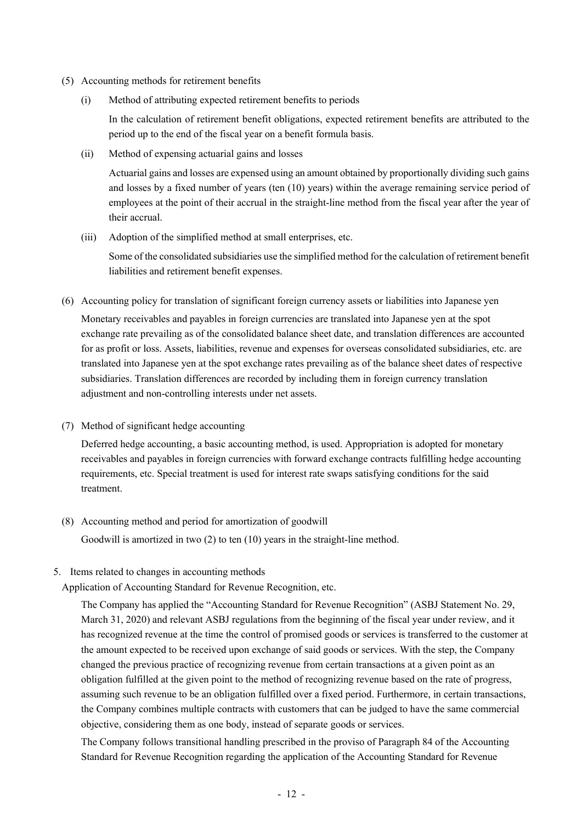- (5) Accounting methods for retirement benefits
	- (i) Method of attributing expected retirement benefits to periods

In the calculation of retirement benefit obligations, expected retirement benefits are attributed to the period up to the end of the fiscal year on a benefit formula basis.

(ii) Method of expensing actuarial gains and losses

Actuarial gains and losses are expensed using an amount obtained by proportionally dividing such gains and losses by a fixed number of years (ten (10) years) within the average remaining service period of employees at the point of their accrual in the straight-line method from the fiscal year after the year of their accrual.

(iii) Adoption of the simplified method at small enterprises, etc.

Some of the consolidated subsidiaries use the simplified method for the calculation of retirement benefit liabilities and retirement benefit expenses.

(6) Accounting policy for translation of significant foreign currency assets or liabilities into Japanese yen

Monetary receivables and payables in foreign currencies are translated into Japanese yen at the spot exchange rate prevailing as of the consolidated balance sheet date, and translation differences are accounted for as profit or loss. Assets, liabilities, revenue and expenses for overseas consolidated subsidiaries, etc. are translated into Japanese yen at the spot exchange rates prevailing as of the balance sheet dates of respective subsidiaries. Translation differences are recorded by including them in foreign currency translation adjustment and non-controlling interests under net assets.

(7) Method of significant hedge accounting

Deferred hedge accounting, a basic accounting method, is used. Appropriation is adopted for monetary receivables and payables in foreign currencies with forward exchange contracts fulfilling hedge accounting requirements, etc. Special treatment is used for interest rate swaps satisfying conditions for the said treatment.

- (8) Accounting method and period for amortization of goodwill Goodwill is amortized in two (2) to ten (10) years in the straight-line method.
- 5. Items related to changes in accounting methods

Application of Accounting Standard for Revenue Recognition, etc.

The Company has applied the "Accounting Standard for Revenue Recognition" (ASBJ Statement No. 29, March 31, 2020) and relevant ASBJ regulations from the beginning of the fiscal year under review, and it has recognized revenue at the time the control of promised goods or services is transferred to the customer at the amount expected to be received upon exchange of said goods or services. With the step, the Company changed the previous practice of recognizing revenue from certain transactions at a given point as an obligation fulfilled at the given point to the method of recognizing revenue based on the rate of progress, assuming such revenue to be an obligation fulfilled over a fixed period. Furthermore, in certain transactions, the Company combines multiple contracts with customers that can be judged to have the same commercial objective, considering them as one body, instead of separate goods or services.

The Company follows transitional handling prescribed in the proviso of Paragraph 84 of the Accounting Standard for Revenue Recognition regarding the application of the Accounting Standard for Revenue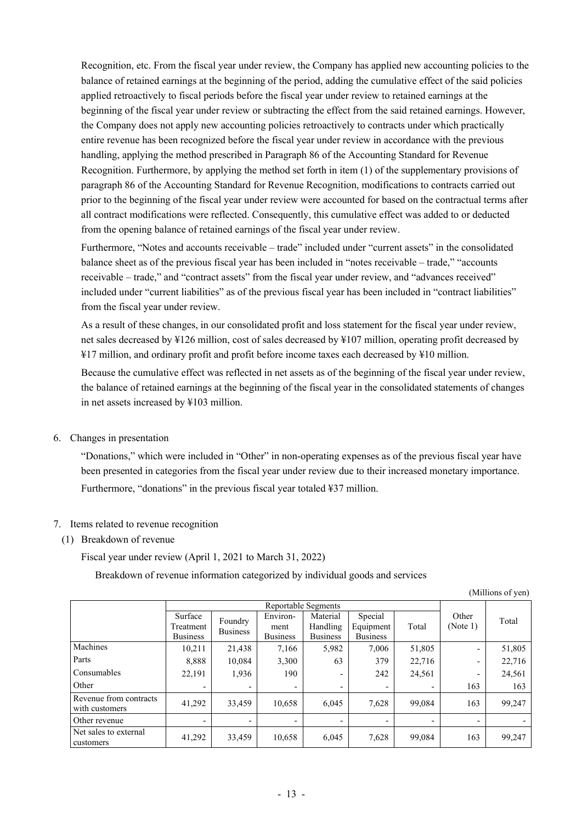Recognition, etc. From the fiscal year under review, the Company has applied new accounting policies to the balance of retained earnings at the beginning of the period, adding the cumulative effect of the said policies applied retroactively to fiscal periods before the fiscal year under review to retained earnings at the beginning of the fiscal year under review or subtracting the effect from the said retained earnings. However, the Company does not apply new accounting policies retroactively to contracts under which practically entire revenue has been recognized before the fiscal year under review in accordance with the previous handling, applying the method prescribed in Paragraph 86 of the Accounting Standard for Revenue Recognition. Furthermore, by applying the method set forth in item (1) of the supplementary provisions of paragraph 86 of the Accounting Standard for Revenue Recognition, modifications to contracts carried out prior to the beginning of the fiscal year under review were accounted for based on the contractual terms after all contract modifications were reflected. Consequently, this cumulative effect was added to or deducted from the opening balance of retained earnings of the fiscal year under review.

Furthermore, "Notes and accounts receivable – trade" included under "current assets" in the consolidated balance sheet as of the previous fiscal year has been included in "notes receivable – trade," "accounts receivable – trade," and "contract assets" from the fiscal year under review, and "advances received" included under "current liabilities" as of the previous fiscal year has been included in "contract liabilities" from the fiscal year under review.

As a result of these changes, in our consolidated profit and loss statement for the fiscal year under review, net sales decreased by ¥126 million, cost of sales decreased by ¥107 million, operating profit decreased by ¥17 million, and ordinary profit and profit before income taxes each decreased by ¥10 million.

Because the cumulative effect was reflected in net assets as of the beginning of the fiscal year under review, the balance of retained earnings at the beginning of the fiscal year in the consolidated statements of changes in net assets increased by ¥103 million.

6. Changes in presentation

"Donations," which were included in "Other" in non-operating expenses as of the previous fiscal year have been presented in categories from the fiscal year under review due to their increased monetary importance. Furthermore, "donations" in the previous fiscal year totaled ¥37 million.

- 7. Items related to revenue recognition
	- (1) Breakdown of revenue

Fiscal year under review (April 1, 2021 to March 31, 2022)

Breakdown of revenue information categorized by individual goods and services

(Millions of yen)

|                                          | Reportable Segments  |                          |                          |                      |                      |        |                          |        |
|------------------------------------------|----------------------|--------------------------|--------------------------|----------------------|----------------------|--------|--------------------------|--------|
|                                          | Surface<br>Treatment | Foundry                  | Environ-<br>ment         | Material<br>Handling | Special<br>Equipment | Total  | Other<br>(Note 1)        | Total  |
|                                          | <b>Business</b>      | <b>Business</b>          | <b>Business</b>          | <b>Business</b>      | <b>Business</b>      |        |                          |        |
| Machines                                 | 10,211               | 21,438                   | 7,166                    | 5,982                | 7,006                | 51,805 | $\overline{\phantom{0}}$ | 51,805 |
| Parts                                    | 8,888                | 10.084                   | 3,300                    | 63                   | 379                  | 22,716 | -                        | 22,716 |
| Consumables                              | 22,191               | 1,936                    | 190                      |                      | 242                  | 24,561 | -                        | 24,561 |
| Other                                    |                      |                          | $\overline{\phantom{a}}$ |                      |                      |        | 163                      | 163    |
| Revenue from contracts<br>with customers | 41,292               | 33.459                   | 10,658                   | 6.045                | 7,628                | 99.084 | 163                      | 99,247 |
| Other revenue                            |                      | $\overline{\phantom{a}}$ | $\overline{\phantom{a}}$ |                      |                      |        | $\overline{\phantom{a}}$ |        |
| Net sales to external<br>customers       | 41,292               | 33,459                   | 10,658                   | 6,045                | 7,628                | 99,084 | 163                      | 99,247 |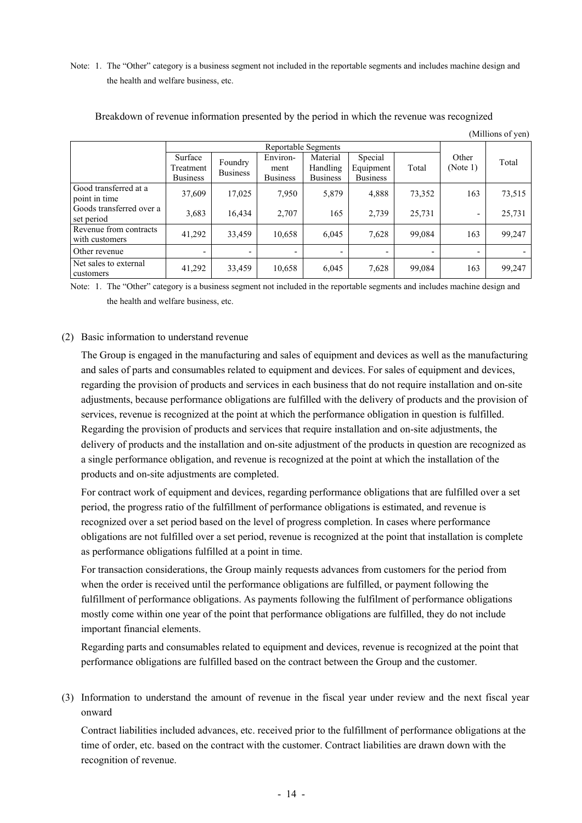Note: 1. The "Other" category is a business segment not included in the reportable segments and includes machine design and the health and welfare business, etc.

|                                          | Reportable Segments                     |                            |                                     |                                         |                                         |        |                              |        |
|------------------------------------------|-----------------------------------------|----------------------------|-------------------------------------|-----------------------------------------|-----------------------------------------|--------|------------------------------|--------|
|                                          | Surface<br>Treatment<br><b>Business</b> | Foundry<br><b>Business</b> | Environ-<br>ment<br><b>Business</b> | Material<br>Handling<br><b>Business</b> | Special<br>Equipment<br><b>Business</b> | Total  | Other<br>(Note 1)            | Total  |
| Good transferred at a<br>point in time   | 37,609                                  | 17,025                     | 7,950                               | 5,879                                   | 4,888                                   | 73,352 | 163                          | 73,515 |
| Goods transferred over a<br>set period   | 3,683                                   | 16,434                     | 2,707                               | 165                                     | 2,739                                   | 25,731 | $\qquad \qquad \blacksquare$ | 25,731 |
| Revenue from contracts<br>with customers | 41,292                                  | 33,459                     | 10,658                              | 6,045                                   | 7,628                                   | 99,084 | 163                          | 99,247 |
| Other revenue                            |                                         | $\overline{\phantom{0}}$   |                                     |                                         |                                         |        |                              |        |
| Net sales to external<br>customers       | 41,292                                  | 33,459                     | 10,658                              | 6,045                                   | 7,628                                   | 99,084 | 163                          | 99,247 |

#### Breakdown of revenue information presented by the period in which the revenue was recognized

(Millions of yen)

Note: 1. The "Other" category is a business segment not included in the reportable segments and includes machine design and the health and welfare business, etc.

#### (2) Basic information to understand revenue

The Group is engaged in the manufacturing and sales of equipment and devices as well as the manufacturing and sales of parts and consumables related to equipment and devices. For sales of equipment and devices, regarding the provision of products and services in each business that do not require installation and on-site adjustments, because performance obligations are fulfilled with the delivery of products and the provision of services, revenue is recognized at the point at which the performance obligation in question is fulfilled. Regarding the provision of products and services that require installation and on-site adjustments, the delivery of products and the installation and on-site adjustment of the products in question are recognized as a single performance obligation, and revenue is recognized at the point at which the installation of the products and on-site adjustments are completed.

For contract work of equipment and devices, regarding performance obligations that are fulfilled over a set period, the progress ratio of the fulfillment of performance obligations is estimated, and revenue is recognized over a set period based on the level of progress completion. In cases where performance obligations are not fulfilled over a set period, revenue is recognized at the point that installation is complete as performance obligations fulfilled at a point in time.

For transaction considerations, the Group mainly requests advances from customers for the period from when the order is received until the performance obligations are fulfilled, or payment following the fulfillment of performance obligations. As payments following the fulfilment of performance obligations mostly come within one year of the point that performance obligations are fulfilled, they do not include important financial elements.

Regarding parts and consumables related to equipment and devices, revenue is recognized at the point that performance obligations are fulfilled based on the contract between the Group and the customer.

(3) Information to understand the amount of revenue in the fiscal year under review and the next fiscal year onward

Contract liabilities included advances, etc. received prior to the fulfillment of performance obligations at the time of order, etc. based on the contract with the customer. Contract liabilities are drawn down with the recognition of revenue.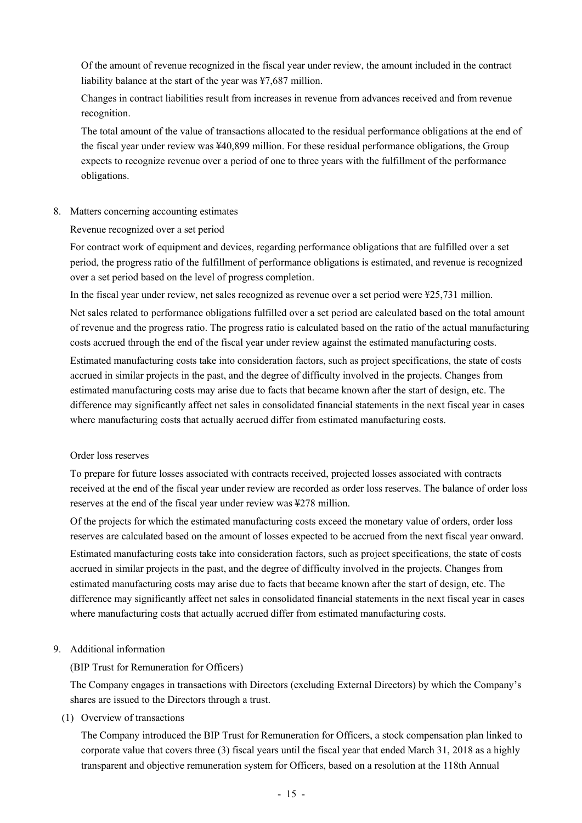Of the amount of revenue recognized in the fiscal year under review, the amount included in the contract liability balance at the start of the year was ¥7,687 million.

Changes in contract liabilities result from increases in revenue from advances received and from revenue recognition.

The total amount of the value of transactions allocated to the residual performance obligations at the end of the fiscal year under review was ¥40,899 million. For these residual performance obligations, the Group expects to recognize revenue over a period of one to three years with the fulfillment of the performance obligations.

#### 8. Matters concerning accounting estimates

Revenue recognized over a set period

For contract work of equipment and devices, regarding performance obligations that are fulfilled over a set period, the progress ratio of the fulfillment of performance obligations is estimated, and revenue is recognized over a set period based on the level of progress completion.

In the fiscal year under review, net sales recognized as revenue over a set period were ¥25,731 million.

Net sales related to performance obligations fulfilled over a set period are calculated based on the total amount of revenue and the progress ratio. The progress ratio is calculated based on the ratio of the actual manufacturing costs accrued through the end of the fiscal year under review against the estimated manufacturing costs.

Estimated manufacturing costs take into consideration factors, such as project specifications, the state of costs accrued in similar projects in the past, and the degree of difficulty involved in the projects. Changes from estimated manufacturing costs may arise due to facts that became known after the start of design, etc. The difference may significantly affect net sales in consolidated financial statements in the next fiscal year in cases where manufacturing costs that actually accrued differ from estimated manufacturing costs.

#### Order loss reserves

To prepare for future losses associated with contracts received, projected losses associated with contracts received at the end of the fiscal year under review are recorded as order loss reserves. The balance of order loss reserves at the end of the fiscal year under review was ¥278 million.

Of the projects for which the estimated manufacturing costs exceed the monetary value of orders, order loss reserves are calculated based on the amount of losses expected to be accrued from the next fiscal year onward. Estimated manufacturing costs take into consideration factors, such as project specifications, the state of costs accrued in similar projects in the past, and the degree of difficulty involved in the projects. Changes from estimated manufacturing costs may arise due to facts that became known after the start of design, etc. The difference may significantly affect net sales in consolidated financial statements in the next fiscal year in cases where manufacturing costs that actually accrued differ from estimated manufacturing costs.

# 9. Additional information

# (BIP Trust for Remuneration for Officers)

The Company engages in transactions with Directors (excluding External Directors) by which the Company's shares are issued to the Directors through a trust.

(1) Overview of transactions

The Company introduced the BIP Trust for Remuneration for Officers, a stock compensation plan linked to corporate value that covers three (3) fiscal years until the fiscal year that ended March 31, 2018 as a highly transparent and objective remuneration system for Officers, based on a resolution at the 118th Annual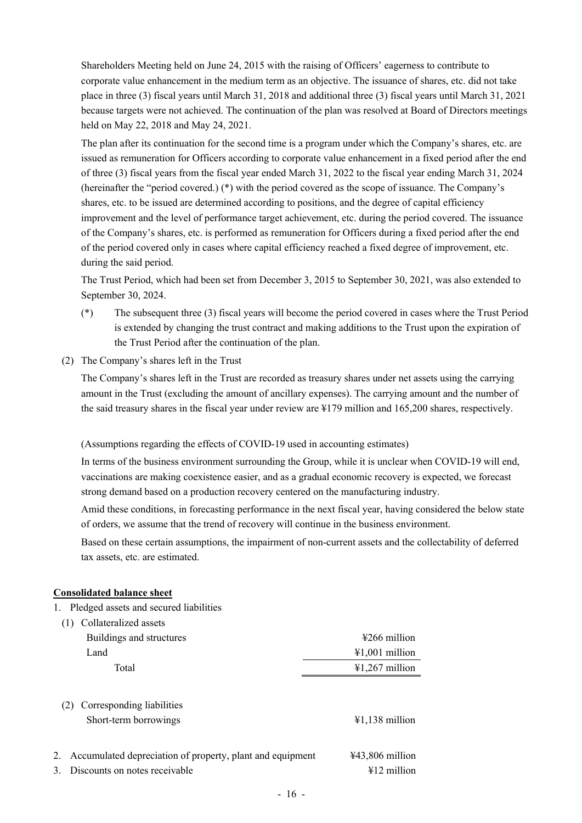Shareholders Meeting held on June 24, 2015 with the raising of Officers' eagerness to contribute to corporate value enhancement in the medium term as an objective. The issuance of shares, etc. did not take place in three (3) fiscal years until March 31, 2018 and additional three (3) fiscal years until March 31, 2021 because targets were not achieved. The continuation of the plan was resolved at Board of Directors meetings held on May 22, 2018 and May 24, 2021.

The plan after its continuation for the second time is a program under which the Company's shares, etc. are issued as remuneration for Officers according to corporate value enhancement in a fixed period after the end of three (3) fiscal years from the fiscal year ended March 31, 2022 to the fiscal year ending March 31, 2024 (hereinafter the "period covered.) (\*) with the period covered as the scope of issuance. The Company's shares, etc. to be issued are determined according to positions, and the degree of capital efficiency improvement and the level of performance target achievement, etc. during the period covered. The issuance of the Company's shares, etc. is performed as remuneration for Officers during a fixed period after the end of the period covered only in cases where capital efficiency reached a fixed degree of improvement, etc. during the said period.

The Trust Period, which had been set from December 3, 2015 to September 30, 2021, was also extended to September 30, 2024.

- (\*) The subsequent three (3) fiscal years will become the period covered in cases where the Trust Period is extended by changing the trust contract and making additions to the Trust upon the expiration of the Trust Period after the continuation of the plan.
- (2) The Company's shares left in the Trust

The Company's shares left in the Trust are recorded as treasury shares under net assets using the carrying amount in the Trust (excluding the amount of ancillary expenses). The carrying amount and the number of the said treasury shares in the fiscal year under review are ¥179 million and 165,200 shares, respectively.

(Assumptions regarding the effects of COVID-19 used in accounting estimates)

In terms of the business environment surrounding the Group, while it is unclear when COVID-19 will end, vaccinations are making coexistence easier, and as a gradual economic recovery is expected, we forecast strong demand based on a production recovery centered on the manufacturing industry.

Amid these conditions, in forecasting performance in the next fiscal year, having considered the below state of orders, we assume that the trend of recovery will continue in the business environment.

Based on these certain assumptions, the impairment of non-current assets and the collectability of deferred tax assets, etc. are estimated.

# **Consolidated balance sheet**

1. Pledged assets and secured liabilities

| Collateralized assets                                                                                       |                                            |
|-------------------------------------------------------------------------------------------------------------|--------------------------------------------|
| Buildings and structures                                                                                    | $\frac{1266}{2}$ million                   |
| Land                                                                                                        | $\text{\#1,001}$ million                   |
| Total                                                                                                       | $¥1,267$ million                           |
| Corresponding liabilities<br>(2)<br>Short-term borrowings                                                   | $\text{\#1,138}$ million                   |
| Accumulated depreciation of property, plant and equipment<br>2.<br>Discounts on notes receivable<br>$3_{-}$ | $443,806$ million<br>$\text{\#12}$ million |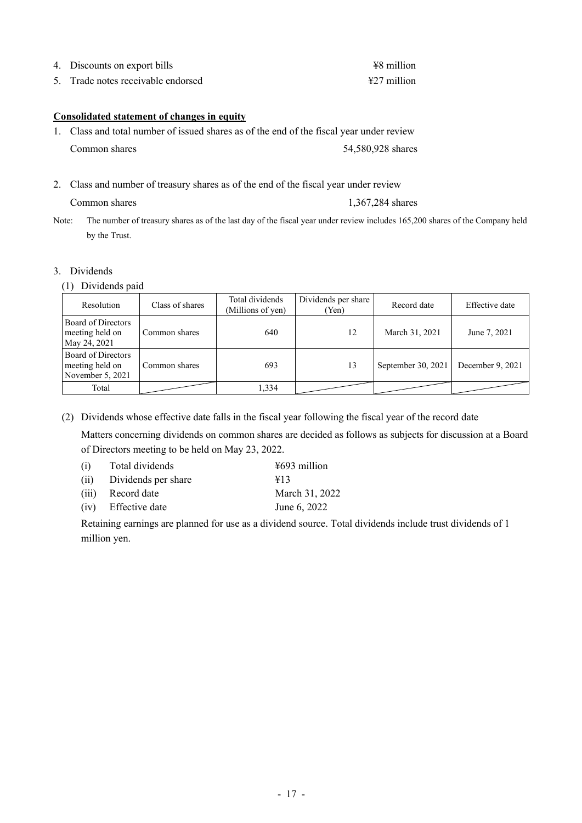|  | 4. Discounts on export bills |  |  | ¥8 million                                      |  |
|--|------------------------------|--|--|-------------------------------------------------|--|
|  |                              |  |  | $\cdot$ 11 $\cdot$<br>$\mathbf{r}$ $\mathbf{r}$ |  |

5. Trade notes receivable endorsed ¥27 million

#### **Consolidated statement of changes in equity**

- 1. Class and total number of issued shares as of the end of the fiscal year under review Common shares 54,580,928 shares
- 2. Class and number of treasury shares as of the end of the fiscal year under review

Common shares 1,367,284 shares

Note: The number of treasury shares as of the last day of the fiscal year under review includes 165,200 shares of the Company held by the Trust.

#### 3. Dividends

(1) Dividends paid

| Resolution                                                | Class of shares | Total dividends<br>(Millions of yen) | Dividends per share<br>(Yen) | Record date        | Effective date   |
|-----------------------------------------------------------|-----------------|--------------------------------------|------------------------------|--------------------|------------------|
| Board of Directors<br>meeting held on<br>May 24, 2021     | Common shares   | 640                                  | 12                           | March 31, 2021     | June 7, 2021     |
| Board of Directors<br>meeting held on<br>November 5, 2021 | Common shares   | 693                                  | 13                           | September 30, 2021 | December 9, 2021 |
| Total                                                     |                 | 1,334                                |                              |                    |                  |

(2) Dividends whose effective date falls in the fiscal year following the fiscal year of the record date

Matters concerning dividends on common shares are decided as follows as subjects for discussion at a Board of Directors meeting to be held on May 23, 2022.

| Total dividends     | $\frac{15693}{100}$ million |
|---------------------|-----------------------------|
| Dividends per share | $\angle 13$                 |
| Record date         | March 31, 2022              |
| (iv) Effective date | June 6, 2022                |
|                     |                             |

Retaining earnings are planned for use as a dividend source. Total dividends include trust dividends of 1 million yen.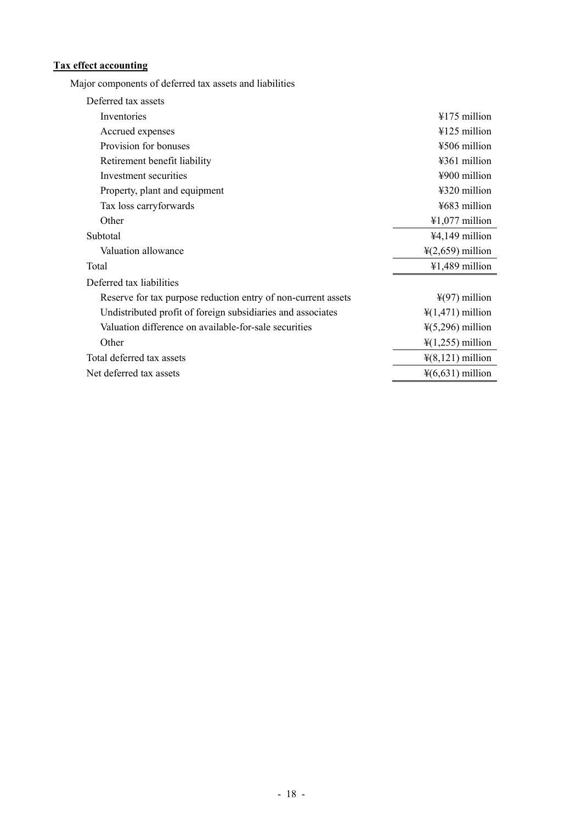# **Tax effect accounting**

Major components of deferred tax assets and liabilities

| Deferred tax assets                                           |                               |
|---------------------------------------------------------------|-------------------------------|
| Inventories                                                   | $4175$ million                |
| Accrued expenses                                              | $4125$ million                |
| Provision for bonuses                                         | ¥506 million                  |
| Retirement benefit liability                                  | ¥361 million                  |
| Investment securities                                         | $4900$ million                |
| Property, plant and equipment                                 | $4320$ million                |
| Tax loss carryforwards                                        | ¥683 million                  |
| Other                                                         | $\text{\#}1,077$ million      |
| Subtotal                                                      | ¥4,149 million                |
| Valuation allowance                                           | $\frac{1}{2}(2,659)$ million  |
| Total                                                         | $41,489$ million              |
| Deferred tax liabilities                                      |                               |
| Reserve for tax purpose reduction entry of non-current assets | $\frac{1}{2}(97)$ million     |
| Undistributed profit of foreign subsidiaries and associates   | $\frac{1}{2}(1,471)$ million  |
| Valuation difference on available-for-sale securities         | $\frac{1}{2}(5,296)$ million  |
| Other                                                         | $\frac{1}{2}$ (1,255) million |
| Total deferred tax assets                                     | $\frac{1}{2}(8,121)$ million  |
| Net deferred tax assets                                       | $\frac{1}{2}(6,631)$ million  |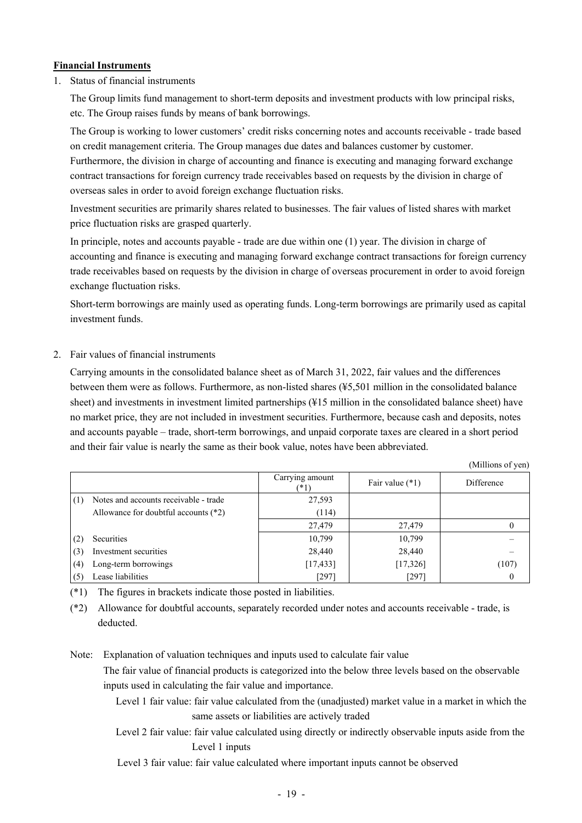# **Financial Instruments**

1. Status of financial instruments

The Group limits fund management to short-term deposits and investment products with low principal risks, etc. The Group raises funds by means of bank borrowings.

The Group is working to lower customers' credit risks concerning notes and accounts receivable - trade based on credit management criteria. The Group manages due dates and balances customer by customer. Furthermore, the division in charge of accounting and finance is executing and managing forward exchange contract transactions for foreign currency trade receivables based on requests by the division in charge of

Investment securities are primarily shares related to businesses. The fair values of listed shares with market price fluctuation risks are grasped quarterly.

In principle, notes and accounts payable - trade are due within one (1) year. The division in charge of accounting and finance is executing and managing forward exchange contract transactions for foreign currency trade receivables based on requests by the division in charge of overseas procurement in order to avoid foreign exchange fluctuation risks.

Short-term borrowings are mainly used as operating funds. Long-term borrowings are primarily used as capital investment funds.

#### 2. Fair values of financial instruments

Carrying amounts in the consolidated balance sheet as of March 31, 2022, fair values and the differences between them were as follows. Furthermore, as non-listed shares (¥5,501 million in the consolidated balance sheet) and investments in investment limited partnerships (¥15 million in the consolidated balance sheet) have no market price, they are not included in investment securities. Furthermore, because cash and deposits, notes and accounts payable – trade, short-term borrowings, and unpaid corporate taxes are cleared in a short period and their fair value is nearly the same as their book value, notes have been abbreviated.

 $(M)$ llions of  $($ 

|     |                                        |                         |                   | (TAHIHOIIS OF ACIT) |
|-----|----------------------------------------|-------------------------|-------------------|---------------------|
|     |                                        | Carrying amount<br>(*1) | Fair value $(*1)$ | Difference          |
| (1) | Notes and accounts receivable - trade  | 27,593                  |                   |                     |
|     | Allowance for doubtful accounts $(*2)$ | (114)                   |                   |                     |
|     |                                        | 27,479                  | 27,479            |                     |
| (2) | Securities                             | 10,799                  | 10,799            |                     |
| (3) | Investment securities                  | 28,440                  | 28,440            |                     |
| (4) | Long-term borrowings                   | [17, 433]               | [17, 326]         | (107)               |
| (5) | Lease liabilities                      | [297]                   | [297]             | $\theta$            |

(\*1) The figures in brackets indicate those posted in liabilities.

overseas sales in order to avoid foreign exchange fluctuation risks.

(\*2) Allowance for doubtful accounts, separately recorded under notes and accounts receivable - trade, is deducted.

Note: Explanation of valuation techniques and inputs used to calculate fair value The fair value of financial products is categorized into the below three levels based on the observable inputs used in calculating the fair value and importance.

> Level 1 fair value: fair value calculated from the (unadjusted) market value in a market in which the same assets or liabilities are actively traded

> Level 2 fair value: fair value calculated using directly or indirectly observable inputs aside from the Level 1 inputs

Level 3 fair value: fair value calculated where important inputs cannot be observed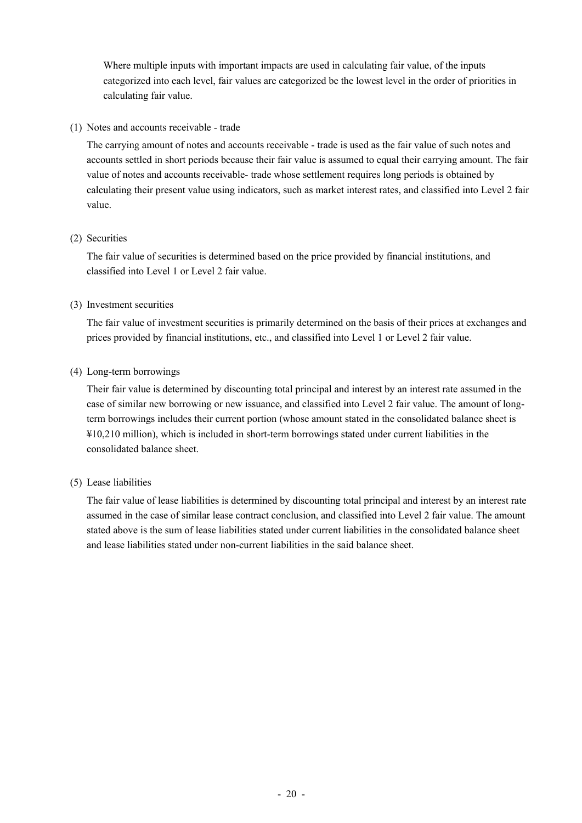Where multiple inputs with important impacts are used in calculating fair value, of the inputs categorized into each level, fair values are categorized be the lowest level in the order of priorities in calculating fair value.

(1) Notes and accounts receivable - trade

The carrying amount of notes and accounts receivable - trade is used as the fair value of such notes and accounts settled in short periods because their fair value is assumed to equal their carrying amount. The fair value of notes and accounts receivable- trade whose settlement requires long periods is obtained by calculating their present value using indicators, such as market interest rates, and classified into Level 2 fair value.

#### (2) Securities

The fair value of securities is determined based on the price provided by financial institutions, and classified into Level 1 or Level 2 fair value.

#### (3) Investment securities

The fair value of investment securities is primarily determined on the basis of their prices at exchanges and prices provided by financial institutions, etc., and classified into Level 1 or Level 2 fair value.

#### (4) Long-term borrowings

Their fair value is determined by discounting total principal and interest by an interest rate assumed in the case of similar new borrowing or new issuance, and classified into Level 2 fair value. The amount of longterm borrowings includes their current portion (whose amount stated in the consolidated balance sheet is ¥10,210 million), which is included in short-term borrowings stated under current liabilities in the consolidated balance sheet.

#### (5) Lease liabilities

The fair value of lease liabilities is determined by discounting total principal and interest by an interest rate assumed in the case of similar lease contract conclusion, and classified into Level 2 fair value. The amount stated above is the sum of lease liabilities stated under current liabilities in the consolidated balance sheet and lease liabilities stated under non-current liabilities in the said balance sheet.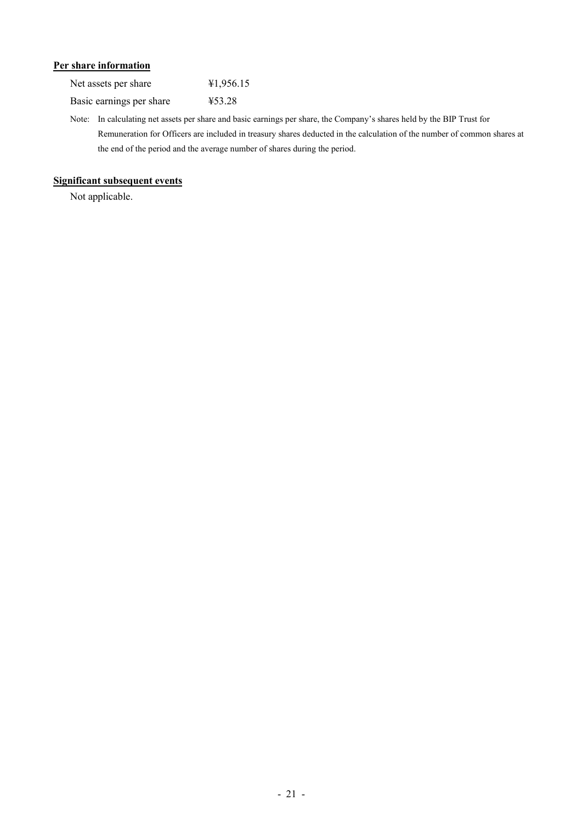# **Per share information**

| Net assets per share     | 41,956.15 |
|--------------------------|-----------|
| Basic earnings per share | ¥53.28    |

Note: In calculating net assets per share and basic earnings per share, the Company's shares held by the BIP Trust for Remuneration for Officers are included in treasury shares deducted in the calculation of the number of common shares at the end of the period and the average number of shares during the period.

# **Significant subsequent events**

Not applicable.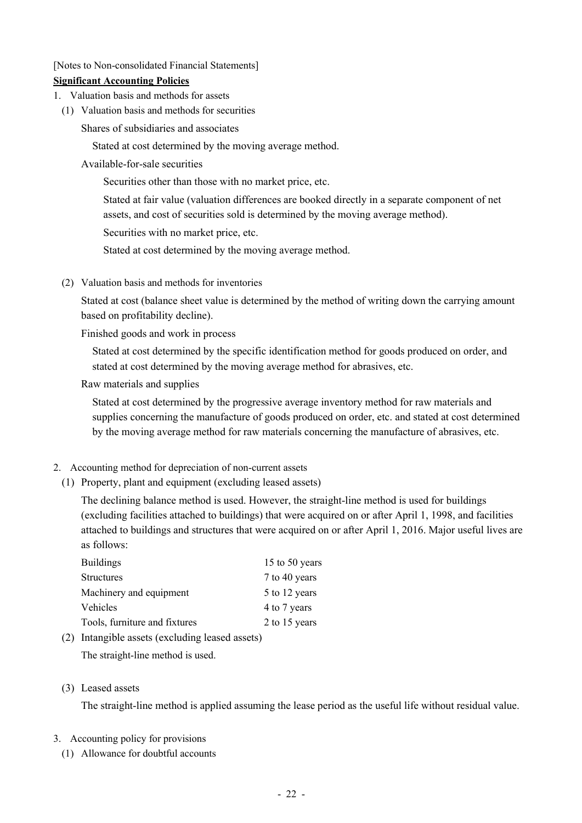[Notes to Non-consolidated Financial Statements]

# **Significant Accounting Policies**

- 1. Valuation basis and methods for assets
- (1) Valuation basis and methods for securities

Shares of subsidiaries and associates

Stated at cost determined by the moving average method.

Available-for-sale securities

Securities other than those with no market price, etc.

Stated at fair value (valuation differences are booked directly in a separate component of net assets, and cost of securities sold is determined by the moving average method).

Securities with no market price, etc.

Stated at cost determined by the moving average method.

(2) Valuation basis and methods for inventories

Stated at cost (balance sheet value is determined by the method of writing down the carrying amount based on profitability decline).

Finished goods and work in process

Stated at cost determined by the specific identification method for goods produced on order, and stated at cost determined by the moving average method for abrasives, etc.

Raw materials and supplies

Stated at cost determined by the progressive average inventory method for raw materials and supplies concerning the manufacture of goods produced on order, etc. and stated at cost determined by the moving average method for raw materials concerning the manufacture of abrasives, etc.

# 2. Accounting method for depreciation of non-current assets

(1) Property, plant and equipment (excluding leased assets)

The declining balance method is used. However, the straight-line method is used for buildings (excluding facilities attached to buildings) that were acquired on or after April 1, 1998, and facilities attached to buildings and structures that were acquired on or after April 1, 2016. Major useful lives are as follows:

| <b>Buildings</b>              | 15 to 50 years |
|-------------------------------|----------------|
| <b>Structures</b>             | 7 to 40 years  |
| Machinery and equipment       | 5 to 12 years  |
| Vehicles                      | 4 to 7 years   |
| Tools, furniture and fixtures | 2 to 15 years  |

(2) Intangible assets (excluding leased assets)

The straight-line method is used.

(3) Leased assets

The straight-line method is applied assuming the lease period as the useful life without residual value.

# 3. Accounting policy for provisions

(1) Allowance for doubtful accounts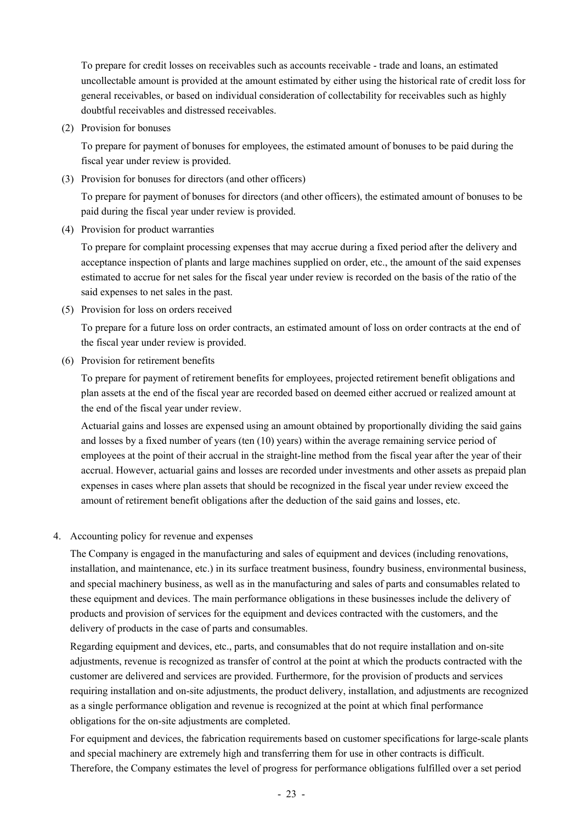To prepare for credit losses on receivables such as accounts receivable - trade and loans, an estimated uncollectable amount is provided at the amount estimated by either using the historical rate of credit loss for general receivables, or based on individual consideration of collectability for receivables such as highly doubtful receivables and distressed receivables.

(2) Provision for bonuses

To prepare for payment of bonuses for employees, the estimated amount of bonuses to be paid during the fiscal year under review is provided.

(3) Provision for bonuses for directors (and other officers)

To prepare for payment of bonuses for directors (and other officers), the estimated amount of bonuses to be paid during the fiscal year under review is provided.

(4) Provision for product warranties

To prepare for complaint processing expenses that may accrue during a fixed period after the delivery and acceptance inspection of plants and large machines supplied on order, etc., the amount of the said expenses estimated to accrue for net sales for the fiscal year under review is recorded on the basis of the ratio of the said expenses to net sales in the past.

(5) Provision for loss on orders received

To prepare for a future loss on order contracts, an estimated amount of loss on order contracts at the end of the fiscal year under review is provided.

(6) Provision for retirement benefits

To prepare for payment of retirement benefits for employees, projected retirement benefit obligations and plan assets at the end of the fiscal year are recorded based on deemed either accrued or realized amount at the end of the fiscal year under review.

Actuarial gains and losses are expensed using an amount obtained by proportionally dividing the said gains and losses by a fixed number of years (ten (10) years) within the average remaining service period of employees at the point of their accrual in the straight-line method from the fiscal year after the year of their accrual. However, actuarial gains and losses are recorded under investments and other assets as prepaid plan expenses in cases where plan assets that should be recognized in the fiscal year under review exceed the amount of retirement benefit obligations after the deduction of the said gains and losses, etc.

4. Accounting policy for revenue and expenses

The Company is engaged in the manufacturing and sales of equipment and devices (including renovations, installation, and maintenance, etc.) in its surface treatment business, foundry business, environmental business, and special machinery business, as well as in the manufacturing and sales of parts and consumables related to these equipment and devices. The main performance obligations in these businesses include the delivery of products and provision of services for the equipment and devices contracted with the customers, and the delivery of products in the case of parts and consumables.

Regarding equipment and devices, etc., parts, and consumables that do not require installation and on-site adjustments, revenue is recognized as transfer of control at the point at which the products contracted with the customer are delivered and services are provided. Furthermore, for the provision of products and services requiring installation and on-site adjustments, the product delivery, installation, and adjustments are recognized as a single performance obligation and revenue is recognized at the point at which final performance obligations for the on-site adjustments are completed.

For equipment and devices, the fabrication requirements based on customer specifications for large-scale plants and special machinery are extremely high and transferring them for use in other contracts is difficult. Therefore, the Company estimates the level of progress for performance obligations fulfilled over a set period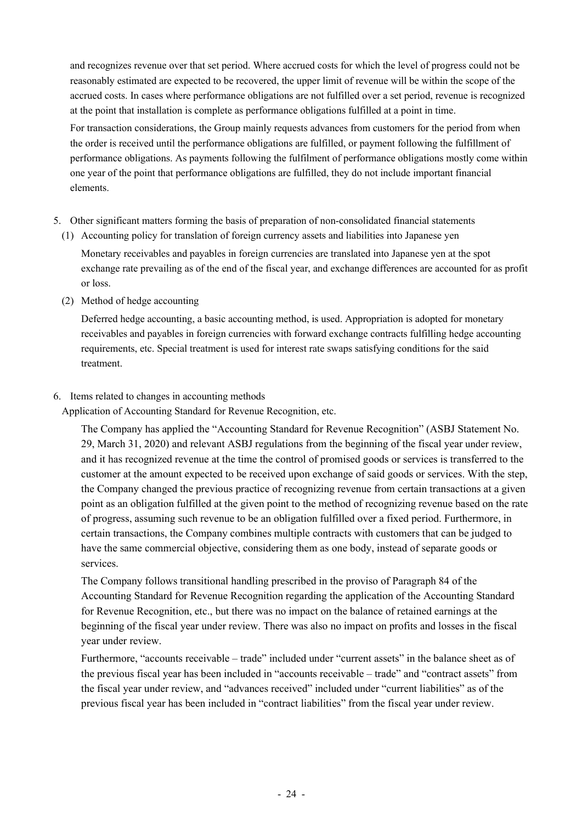and recognizes revenue over that set period. Where accrued costs for which the level of progress could not be reasonably estimated are expected to be recovered, the upper limit of revenue will be within the scope of the accrued costs. In cases where performance obligations are not fulfilled over a set period, revenue is recognized at the point that installation is complete as performance obligations fulfilled at a point in time.

For transaction considerations, the Group mainly requests advances from customers for the period from when the order is received until the performance obligations are fulfilled, or payment following the fulfillment of performance obligations. As payments following the fulfilment of performance obligations mostly come within one year of the point that performance obligations are fulfilled, they do not include important financial elements.

- 5. Other significant matters forming the basis of preparation of non-consolidated financial statements
	- (1) Accounting policy for translation of foreign currency assets and liabilities into Japanese yen

Monetary receivables and payables in foreign currencies are translated into Japanese yen at the spot exchange rate prevailing as of the end of the fiscal year, and exchange differences are accounted for as profit or loss.

(2) Method of hedge accounting

Deferred hedge accounting, a basic accounting method, is used. Appropriation is adopted for monetary receivables and payables in foreign currencies with forward exchange contracts fulfilling hedge accounting requirements, etc. Special treatment is used for interest rate swaps satisfying conditions for the said treatment.

6. Items related to changes in accounting methods

Application of Accounting Standard for Revenue Recognition, etc.

The Company has applied the "Accounting Standard for Revenue Recognition" (ASBJ Statement No. 29, March 31, 2020) and relevant ASBJ regulations from the beginning of the fiscal year under review, and it has recognized revenue at the time the control of promised goods or services is transferred to the customer at the amount expected to be received upon exchange of said goods or services. With the step, the Company changed the previous practice of recognizing revenue from certain transactions at a given point as an obligation fulfilled at the given point to the method of recognizing revenue based on the rate of progress, assuming such revenue to be an obligation fulfilled over a fixed period. Furthermore, in certain transactions, the Company combines multiple contracts with customers that can be judged to have the same commercial objective, considering them as one body, instead of separate goods or services.

The Company follows transitional handling prescribed in the proviso of Paragraph 84 of the Accounting Standard for Revenue Recognition regarding the application of the Accounting Standard for Revenue Recognition, etc., but there was no impact on the balance of retained earnings at the beginning of the fiscal year under review. There was also no impact on profits and losses in the fiscal year under review.

Furthermore, "accounts receivable – trade" included under "current assets" in the balance sheet as of the previous fiscal year has been included in "accounts receivable – trade" and "contract assets" from the fiscal year under review, and "advances received" included under "current liabilities" as of the previous fiscal year has been included in "contract liabilities" from the fiscal year under review.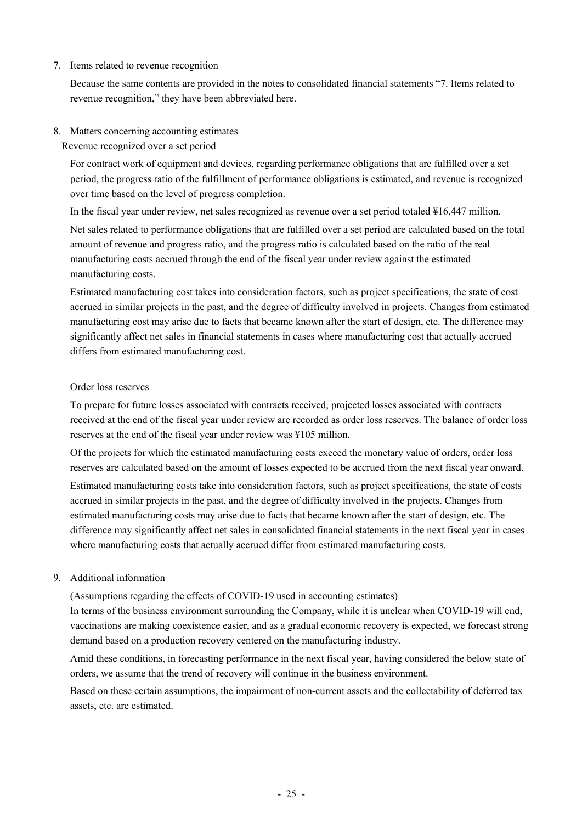7. Items related to revenue recognition

Because the same contents are provided in the notes to consolidated financial statements "7. Items related to revenue recognition," they have been abbreviated here.

8. Matters concerning accounting estimates

Revenue recognized over a set period

For contract work of equipment and devices, regarding performance obligations that are fulfilled over a set period, the progress ratio of the fulfillment of performance obligations is estimated, and revenue is recognized over time based on the level of progress completion.

In the fiscal year under review, net sales recognized as revenue over a set period totaled ¥16,447 million.

Net sales related to performance obligations that are fulfilled over a set period are calculated based on the total amount of revenue and progress ratio, and the progress ratio is calculated based on the ratio of the real manufacturing costs accrued through the end of the fiscal year under review against the estimated manufacturing costs.

Estimated manufacturing cost takes into consideration factors, such as project specifications, the state of cost accrued in similar projects in the past, and the degree of difficulty involved in projects. Changes from estimated manufacturing cost may arise due to facts that became known after the start of design, etc. The difference may significantly affect net sales in financial statements in cases where manufacturing cost that actually accrued differs from estimated manufacturing cost.

#### Order loss reserves

To prepare for future losses associated with contracts received, projected losses associated with contracts received at the end of the fiscal year under review are recorded as order loss reserves. The balance of order loss reserves at the end of the fiscal year under review was ¥105 million.

Of the projects for which the estimated manufacturing costs exceed the monetary value of orders, order loss reserves are calculated based on the amount of losses expected to be accrued from the next fiscal year onward.

Estimated manufacturing costs take into consideration factors, such as project specifications, the state of costs accrued in similar projects in the past, and the degree of difficulty involved in the projects. Changes from estimated manufacturing costs may arise due to facts that became known after the start of design, etc. The difference may significantly affect net sales in consolidated financial statements in the next fiscal year in cases where manufacturing costs that actually accrued differ from estimated manufacturing costs.

#### 9. Additional information

(Assumptions regarding the effects of COVID-19 used in accounting estimates)

In terms of the business environment surrounding the Company, while it is unclear when COVID-19 will end, vaccinations are making coexistence easier, and as a gradual economic recovery is expected, we forecast strong demand based on a production recovery centered on the manufacturing industry.

Amid these conditions, in forecasting performance in the next fiscal year, having considered the below state of orders, we assume that the trend of recovery will continue in the business environment.

Based on these certain assumptions, the impairment of non-current assets and the collectability of deferred tax assets, etc. are estimated.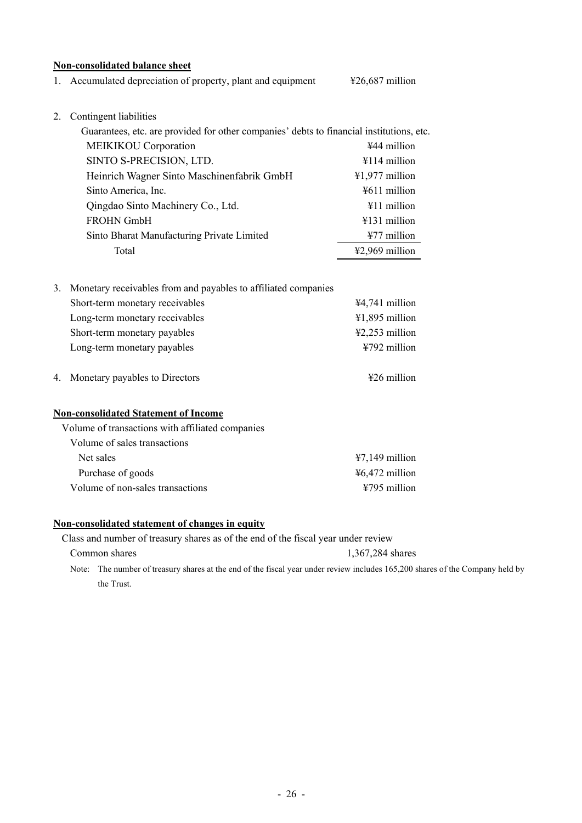#### **Non-consolidated balance sheet**

1. Accumulated depreciation of property, plant and equipment  $\text{\textsterling}26,687 \text{ million}$ 

2. Contingent liabilities

| Guarantees, etc. are provided for other companies' debts to financial institutions, etc. |                          |  |  |  |  |  |
|------------------------------------------------------------------------------------------|--------------------------|--|--|--|--|--|
| <b>MEIKIKOU</b> Corporation                                                              | ¥44 million              |  |  |  |  |  |
| SINTO S-PRECISION, LTD.                                                                  | $\text{\#}114$ million   |  |  |  |  |  |
| Heinrich Wagner Sinto Maschinenfabrik GmbH                                               | $\text{\#1,977}$ million |  |  |  |  |  |
| Sinto America, Inc.                                                                      | ¥611 million             |  |  |  |  |  |
| Qingdao Sinto Machinery Co., Ltd.                                                        | ¥11 million              |  |  |  |  |  |
| <b>FROHN GmbH</b>                                                                        | ¥131 million             |  |  |  |  |  |
| Sinto Bharat Manufacturing Private Limited                                               | $¥77$ million            |  |  |  |  |  |
| Total                                                                                    | ¥2,969 million           |  |  |  |  |  |
|                                                                                          |                          |  |  |  |  |  |

| 3. Monetary receivables from and payables to affiliated companies |                                     |
|-------------------------------------------------------------------|-------------------------------------|
| Short-term monetary receivables                                   | $44,741$ million                    |
| Long-term monetary receivables                                    | $41,895$ million                    |
| Short-term monetary payables                                      | $\text{\textsterling}2,253$ million |
| Long-term monetary payables                                       | $4792$ million                      |
|                                                                   |                                     |

4. Monetary payables to Directors  $\text{\#26 million}$ 

### **Non-consolidated Statement of Income**

| Volume of transactions with affiliated companies |                  |
|--------------------------------------------------|------------------|
| Volume of sales transactions                     |                  |
| Net sales                                        | $47,149$ million |
| Purchase of goods                                | $46,472$ million |
| Volume of non-sales transactions                 | $4795$ million   |

#### **Non-consolidated statement of changes in equity**

Class and number of treasury shares as of the end of the fiscal year under review

Common shares 1,367,284 shares Note: The number of treasury shares at the end of the fiscal year under review includes 165,200 shares of the Company held by the Trust.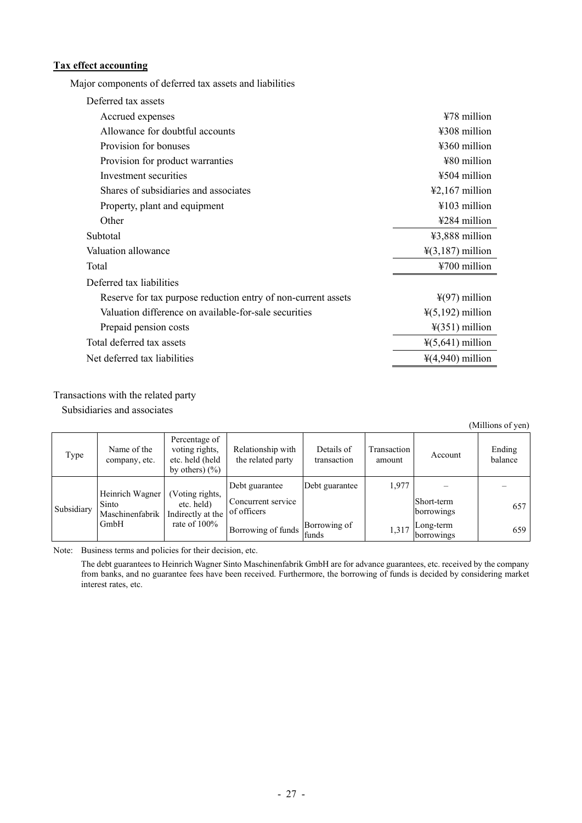# **Tax effect accounting**

Major components of deferred tax assets and liabilities

| Deferred tax assets                                           |                                     |  |  |  |
|---------------------------------------------------------------|-------------------------------------|--|--|--|
| Accrued expenses                                              | ¥78 million                         |  |  |  |
| Allowance for doubtful accounts                               | $4308$ million                      |  |  |  |
| Provision for bonuses                                         | $4360$ million                      |  |  |  |
| Provision for product warranties                              | ¥80 million                         |  |  |  |
| Investment securities                                         | ¥504 million                        |  |  |  |
| Shares of subsidiaries and associates                         | $\text{\textsterling}2,167$ million |  |  |  |
| Property, plant and equipment                                 | $4103$ million                      |  |  |  |
| Other                                                         | ¥284 million                        |  |  |  |
| Subtotal                                                      | $43,888$ million                    |  |  |  |
| Valuation allowance                                           | $\frac{1}{2}(3,187)$ million        |  |  |  |
| Total                                                         | ¥700 million                        |  |  |  |
| Deferred tax liabilities                                      |                                     |  |  |  |
| Reserve for tax purpose reduction entry of non-current assets | $\frac{1}{2}(97)$ million           |  |  |  |
| Valuation difference on available-for-sale securities         | $\frac{1}{2}(5,192)$ million        |  |  |  |
| Prepaid pension costs                                         | $\frac{1}{2}$ (351) million         |  |  |  |
| Total deferred tax assets                                     | $\frac{1}{2}(5,641)$ million        |  |  |  |
| Net deferred tax liabilities                                  | $\frac{1}{4}(4,940)$ million        |  |  |  |

#### Transactions with the related party

Subsidiaries and associates

(Millions of yen)

| Type       | Name of the<br>company, etc.                                                           | Percentage of<br>voting rights,<br>etc. held (held<br>by others) $(\% )$ | Relationship with<br>the related party | Details of<br>transaction | Transaction<br>amount    | Account | Ending<br>balance |
|------------|----------------------------------------------------------------------------------------|--------------------------------------------------------------------------|----------------------------------------|---------------------------|--------------------------|---------|-------------------|
|            | Heinrich Wagner                                                                        | (Voting rights,                                                          | Debt guarantee                         | Debt guarantee            | 1,977                    |         |                   |
| Subsidiary | etc. held)<br>Sinto<br>Indirectly at the<br>Maschinenfabrik<br>GmbH<br>rate of $100\%$ | Concurrent service<br>of officers                                        |                                        |                           | Short-term<br>borrowings | 657     |                   |
|            |                                                                                        | Borrowing of funds                                                       | Borrowing of<br>funds                  | 1,317                     | Long-term<br>borrowings  | 659     |                   |

Note: Business terms and policies for their decision, etc.

The debt guarantees to Heinrich Wagner Sinto Maschinenfabrik GmbH are for advance guarantees, etc. received by the company from banks, and no guarantee fees have been received. Furthermore, the borrowing of funds is decided by considering market interest rates, etc.